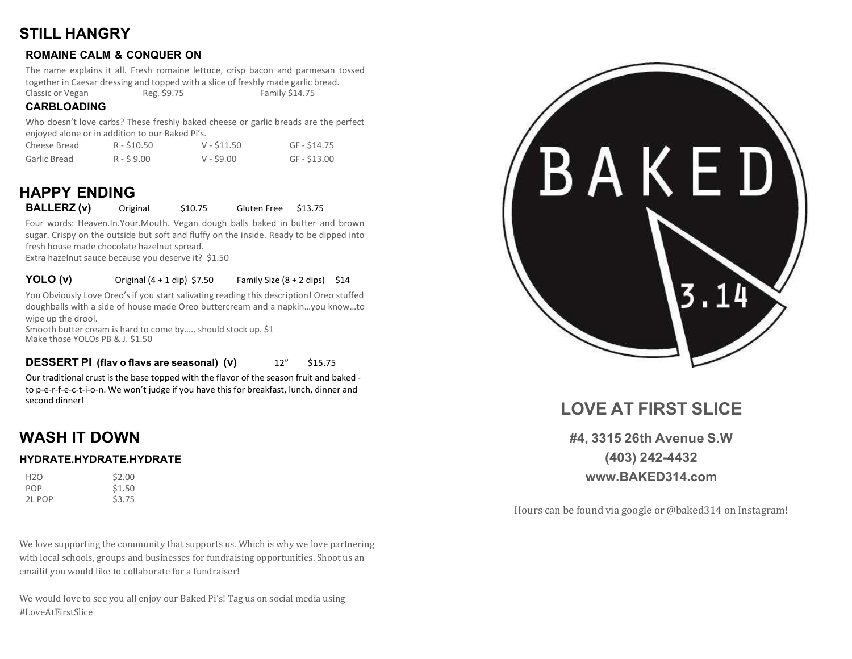# STILL HANGRY

# ROMAINE CALM & CONQUER ON

The name explains it all. Fresh romaine lettuce, crisp bacon and parmesan tossed together in Caesar dressing and topped with a slice of freshly made garlic bread. Classic or Vegan Reg. \$9.75 Family \$14.75

#### CARBLOADING

Who doesn't love carbs? These freshly baked cheese or garlic breads are the perfect enjoyed alone or in addition to our Baked Pi's.

| Cheese Bread | R - \$10.50  | $V - $11.50$ | GF - \$14.75 |
|--------------|--------------|--------------|--------------|
| Garlic Bread | $R - S$ 9.00 | $V - $9.00$  | GF-\$13.00   |

# HAPPY ENDING

BALLERZ (v) Original \$10.75 Gluten Free \$13.75

Four words: Heaven.In.Your.Mouth. Vegan dough balls baked in butter and brown sugar. Crispy on the outside but soft and fluffy on the inside. Ready to be dipped into fresh house made chocolate hazelnut spread.

Extra hazelnut sauce because you deserve it? \$1.50

#### **YOLO (v)** Original  $(4 + 1$  dip)  $$7.50$  Family Size  $(8 + 2$  dips)  $$14$

You Obviously Love Oreo's if you start salivating reading this description! Oreo stuffed doughballs with a side of house made Oreo buttercream and a napkin…you know…to wipe up the drool.

Smooth butter cream is hard to come by..... should stock up. \$1 Make those YOLOs PB & J. \$1.50

#### **DESSERT PI** (flav o flavs are seasonal)  $(v)$  12" \$15.75

Our traditional crust is the base topped with the flavor of the season fruit and baked to p-e-r-f-e-c-t-i-o-n. We won't judge if you have this for breakfast, lunch, dinner and second dinner!

# WASH IT DOWN

#### HYDRATE.HYDRATE.HYDRATE

| H <sub>20</sub> | \$2.00 |
|-----------------|--------|
| <b>POP</b>      | \$1.50 |
| 2L POP          | \$3.75 |

We love supporting the community that supports us. Which is why we love partnering with local schools, groups and businesses for fundraising opportunities. Shoot us an email if you would like to collaborate for a fundraiser!

We would love to see you all enjoy our Baked Pi's! Tag us on social media using #LoveAtFirstSlice



# LOVE AT FIRST SLICE

#4, 3315 26th Avenue S.W (403) 242-4432 www.BAKED314.com

Hours can be found via google or @baked314 on Instagram!